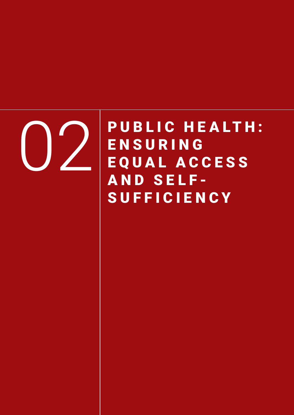

PUBLIC HEALTH: **ENSURING** E Q U A L A C C E S S AND SELF-SUFFICIENCY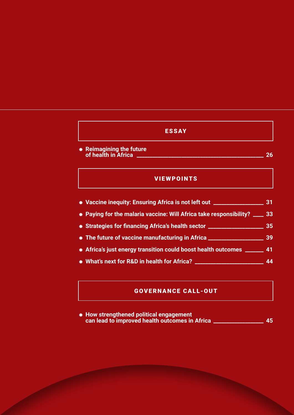## ESSAY

⁕ **Reimagining the future of health in Africa \_\_\_\_\_\_\_\_\_\_\_\_\_\_\_\_\_\_\_\_\_\_\_\_\_\_\_\_\_\_\_\_\_\_\_\_\_\_\_\_\_\_\_\_\_\_\_\_ 26**

## VIEWPOINTS

- ⁕ **Vaccine inequity: Ensuring Africa is not left out \_\_\_\_\_\_\_\_\_\_\_\_\_\_\_\_\_\_\_ 31**
- ⁕ **Paying for the malaria vaccine: Will Africa take responsibility? \_\_\_\_ 33**
- ⁕ **Strategies for financing Africa's health sector \_\_\_\_\_\_\_\_\_\_\_\_\_\_\_\_\_\_\_\_\_ 35**
- ⁕ **The future of vaccine manufacturing in Africa \_\_\_\_\_\_\_\_\_\_\_\_\_\_\_\_\_\_\_\_\_ 39**
- ⁕ **Africa's just energy transition could boost health outcomes \_\_\_\_\_\_\_ 41**
- ⁕ **What's next for R&D in health for Africa? \_\_\_\_\_\_\_\_\_\_\_\_\_\_\_\_\_\_\_\_\_\_\_\_\_\_ 44**

## GOVERNANCE CALL-OUT

⁕ **How strengthened political engagement can lead to improved health outcomes in Africa \_\_\_\_\_\_\_\_\_\_\_\_\_\_\_\_\_\_\_ 45**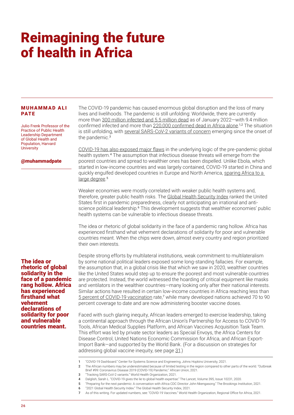# Reimagining the future of health in Africa

### **MUHAMMAD ALI** PATE

Julio Frenk Professor of the Practice of Public Health Leadership Department of Global Health and Population, Harvard **University** 

#### @muhammadpate

The idea or rhetoric of global solidarity in the face of a pandemic rang hollow. Africa has experienced firsthand what vehement declarations of solidarity for poor and vulnerable countries meant.

The COVID-19 pandemic has caused enormous global disruption and the loss of many lives and livelihoods. The pandemic is still unfolding: Worldwide, there are currently more than [300 million infected and 5.5 million dead](https://coronavirus.jhu.edu/map.html) as of January 2022—with 9.4 million confirmed infected and more than [220,000 confirmed dead in Africa alone](https://africacdc.org/download/outbreak-brief-102-coronavirus-disease-2019-covid-19-pandemic/).<sup>1,2</sup> The situation is still unfolding, with [several SARS-CoV-2 variants of concern](https://www.who.int/en/activities/tracking-SARS-CoV-2-variants/) emerging since the onset of the pandemic.<sup>3</sup>

[COVID-19 has also exposed major flaws](https://www.ncbi.nlm.nih.gov/pmc/articles/PMC7194526/) in the underlying logic of the pre-pandemic global health system.<sup>4</sup> The assumption that infectious disease threats will emerge from the poorest countries and spread to wealthier ones has been dispelled. Unlike Ebola, which started in low-income countries and was largely contained, COVID-19 started in China and quickly engulfed developed countries in Europe and North America, [sparing Africa to a](https://www.brookings.edu/events/preparing-for-the-next-pandemic-a-conversation-with-africa-cdc-director-dr-john-nkengasong/)  [large degree](https://www.brookings.edu/events/preparing-for-the-next-pandemic-a-conversation-with-africa-cdc-director-dr-john-nkengasong/).<sup>5</sup>

Weaker economies were mostly correlated with weaker public health systems and, therefore, greater public health risks. The [Global Health Security Index](https://www.ghsindex.org/) ranked the United States first in pandemic preparedness, clearly not anticipating an irrational and antiscience political leadership.<sup>6</sup> This development suggests that wealthier economies' public health systems can be vulnerable to infectious disease threats.

The idea or rhetoric of global solidarity in the face of a pandemic rang hollow. Africa has experienced firsthand what vehement declarations of solidarity for poor and vulnerable countries meant. When the chips were down, almost every country and region prioritized their own interests.

Despite strong efforts by multilateral institutions, weak commitment to multilateralism by some national political leaders exposed some long-standing fallacies. For example, the assumption that, in a global crisis like that which we saw in 2020, wealthier countries like the United States would step up to ensure the poorest and most vulnerable countries are protected. Instead, the world witnessed the hoarding of critical equipment like masks and ventilators in the wealthier countries—many looking only after their national interests. Similar actions have resulted in certain low-income countries in Africa reaching less than [5 percent of COVID-19 vaccination](https://www.afro.who.int/health-topics/coronavirus-covid-19/vaccines) rate,<sup>7</sup> while many developed nations achieved 70 to 90 percent coverage to date and are now administering booster vaccine doses.

Faced with such glaring inequity, African leaders emerged to exercise leadership, taking a continental approach through the African Union's Partnership for Access to COVID-19 Tools, African Medical Supplies Platform, and African Vaccines Acquisition Task Team. This effort was led by private sector leaders as Special Envoys, the Africa Centers for Disease Control, United Nations Economic Commission for Africa, and African Export-Import Bank—and supported by the World Bank. (For a discussion on strategies for addressing global vaccine inequity, see page 31.)

- 5 "Preparing for the next pandemic: A conversation with Africa CDC Director John Nkengasong." The Brookings Institution, 2021.
- 6 "2021 Global Health Security Index." The Global Health Security Index, 2021.
- 7 As of this writing. For updated numbers, see: "COVID-19 Vaccines." World Health Organization, Regional Office for Africa, 2021.

<sup>1</sup> "COVID-19 Dashboard." Center for Systems Science and Engineering, Johns Hopkins University, 2021.

<sup>2</sup> The African numbers may be underestimated because of limited testing in the region compared to other parts of the world. "Outbreak Brief #99: Coronavirus Disease 2019 (COVID-19) Pandemic." African Union, 2021.

<sup>3</sup> "Tracking SARS-CoV-2 variants." World Health Organization, 2021.

<sup>4</sup> Dalglish, Sarah L. "COVID-19 gives the lie to global health expertise." The Lancet, Volume 395, Issue 10231, 2020.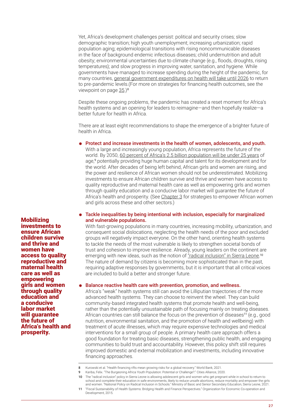Yet, Africa's development challenges persist: political and security crises; slow demographic transition; high youth unemployment; increasing urbanization; rapid population aging; epidemiological transitions with rising noncommunicable diseases in the face of background endemic infectious diseases; child undernutrition and adult obesity; environmental uncertainties due to climate change (e.g., floods, droughts, rising temperatures); and slow progress in improving water, sanitation, and hygiene. While governments have managed to increase spending during the height of the pandemic, for many countries, [general government expenditures on health will take until 2026](https://blogs.worldbank.org/health/health-financing-rifts-mean-growing-risks-global-recovery) to return to pre-pandemic levels.(For more on strategies for financing health outcomes, see the viewpoint on page 35.)<sup>8</sup>

Despite these ongoing problems, the pandemic has created a reset moment for Africa's health systems and an opening for leaders to reimagine—and then hopefully realize—a better future for health in Africa.

There are at least eight recommendations to shape the emergence of a brighter future of health in Africa.

### Protect and increase investments in the health of women, adolescents, and youth.

With a large and increasingly young population, Africa represents the future of the world. By 2050, [60 percent of Africa's 2.5 billion population will be under 25 years](https://www.citiesalliance.org/newsroom/news/cities-alliance-news/%C2%A0burgeoning-africa-youth-population-potential-or-challenge%C2%A0#:~:text=Almost%2060%25%20of%20Africa) of age,<sup>9</sup> potentially providing huge human capital and talent for its development and for the world. After decades of being left behind, African girls and women are rising, and the power and resilience of African women should not be underestimated. Mobilizing investments to ensure African children survive and thrive and women have access to quality reproductive and maternal health care as well as empowering girls and women through quality education and a conducive labor market will guarantee the future of Africa's health and prosperity. (See Chapter 3 for strategies to empower African women and girls across these and other sectors.)

⁕ Tackle inequalities by being intentional with inclusion, especially for marginalized and vulnerable populations.

With fast-growing populations in many countries, increasing mobility, urbanization, and consequent social dislocations, neglecting the health needs of the poor and excluded groups will negatively impact everyone. On the other hand, orienting health systems to tackle the needs of the most vulnerable is likely to strengthen societal bonds of trust and cohesion to improve resilience. Already, young leaders on the continent are emerging with new ideas, such as the notion of <u>"radical inclusion" in Sierra Leone</u>.<sup>10</sup> The nature of demand by citizens is becoming more sophisticated than in the past, requiring adaptive responses by governments, but it is important that all critical voices are included to build a better and stronger future.

#### Balance reactive health care with prevention, promotion, and wellness.

Africa's "weak" health systems still can avoid the Lilliputian trajectories of the more advanced health systems. They can choose to reinvent the wheel. They can build community-based integrated health systems that promote health and well-being, rather than the potentially unsustainable path of focusing mainly on treating diseases. African countries can still balance the focus on the prevention of diseases<sup>11</sup> (e.g., good nutrition, environmental sanitation, and the promotion of health and wellbeing) with treatment of acute illnesses, which may require expensive technologies and medical interventions for a small group of people. A primary health care approach offers a good foundation for treating basic diseases, strengthening public health, and engaging communities to build trust and accountability. However, this policy shift still requires improved domestic and external mobilization and investments, including innovative financing approaches.

Mobilizing investments to ensure African children survive and thrive and women have access to quality reproductive and maternal health care as well as empowering girls and women through quality education and a conducive labor market will guarantee the future of Africa's health and prosperity.

<sup>8</sup> Kurowski et al. "Health financing rifts mean growing risks for a global recovery." World Bank, 2021

<sup>9</sup> Kariba, Felix. "The Burgeoning Africa Youth Population: Potential or Challenge?." Cities Alliance, 2020.

<sup>10</sup> The "radical inclusion" policy in Sierra Leone is allowing adolescent girls and women who get pregnant while in school to return to school and complete their education in safe environments, likely to reduce unsafe abortions, reduce mortality and empower the girls and women. "National Policy on Radical Inclusion in Schools." Ministry of Basic and Senior Secondary Education, Sierra Leone, 2021.

<sup>11</sup> "Fiscal Sustainability of Health Systems: Bridging Health and Finance Perspectives." Organization for Economic Co-operation and Development, 2015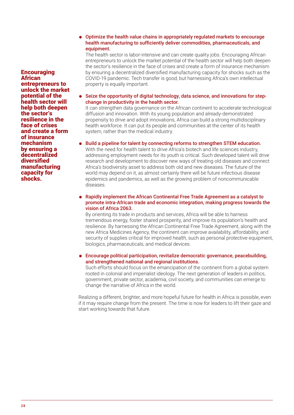## ⁕ Optimize the health value chains in appropriately regulated markets to encourage health manufacturing to sufficiently deliver commodities, pharmaceuticals, and equipment.

The health sector is labor-intensive and can create quality jobs. Encouraging African entrepreneurs to unlock the market potential of the health sector will help both deepen the sector's resilience in the face of crises and create a form of insurance mechanism by ensuring a decentralized diversified manufacturing capacity for shocks such as the COVID-19 pandemic. Tech transfer is good, but harnessing Africa's own intellectual property is equally important.

⁕ Seize the opportunity of digital technology, data science, and innovations for stepchange in productivity in the health sector.

It can strengthen data governance on the African continent to accelerate technological diffusion and innovation. With its young population and already-demonstrated propensity to drive and adopt innovations, Africa can build a strong multidisciplinary health workforce. It can put its people and communities at the center of its health system, rather than the medical industry.

Build a pipeline for talent by connecting reforms to strengthen STEM education.

With the need for health talent to drive Africa's biotech and life sciences industry, addressing employment needs for its youth is critical. Such developed talent will drive research and development to discover new ways of treating old diseases and connect Africa's biodiversity asset to address both old and new diseases. The future of the world may depend on it, as almost certainly there will be future infectious disease epidemics and pandemics, as well as the growing problem of noncommunicable diseases.

⁕ Rapidly implement the African Continental Free Trade Agreement as a catalyst to promote intra-African trade and economic integration, making progress towards the vision of Africa 2063.

By orienting its trade in products and services, Africa will be able to harness tremendous energy, foster shared prosperity, and improve its population's health and resilience. By harnessing the African Continental Free Trade Agreement, along with the new Africa Medicines Agency, the continent can improve availability, affordability, and security of supplies critical for improved health, such as personal protective equipment, biologics, pharmaceuticals, and medical devices.

⁕ Encourage political participation, revitalize democratic governance, peacebuilding, and strengthened national and regional institutions.

Such efforts should focus on the emancipation of the continent from a global system rooted in colonial and imperialist ideology. The next generation of leaders in politics, government, private sector, academia, civil society, and communities can emerge to change the narrative of Africa in the world.

Realizing a different, brighter, and more hopeful future for health in Africa is possible, even if it may require change from the present. The time is now for leaders to lift their gaze and start working towards that future.

**Encouraging African** entrepreneurs to unlock the market potential of the health sector will help both deepen the sector's resilience in the face of crises and create a form of insurance mechanism by ensuring a decentralized diversified manufacturing capacity for shocks.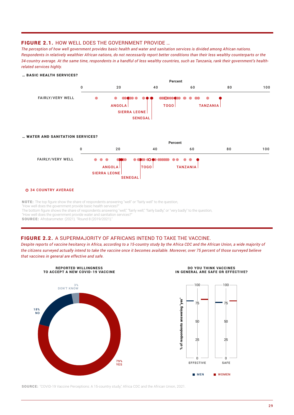### FIGURE 2.1. HOW WELL DOES THE GOVERNMENT PROVIDE …

*The perception of how well government provides basic health and water and sanitation services is divided among African nations. Respondents in relatively wealthier African nations, do not necessarily report better conditions than their less wealthy counterparts or the 34-country average. At the same time, respondents in a handful of less wealthy countries, such as Tanzania, rank their government's healthrelated services highly.*



NOTE: The top figure show the share of respondents answering "well" or "fairly well" to the question,

"How well does the government provide basic health services?

The bottom figure shows the share of respondents answering "well," "fairly well," "fairly badly," or "very badly" to the question,

"How well does the government provide water and sanitation services?"

SOURCE: Afrobarometer. (2021). "Round 8 (2019/2021)."

### FIGURE 2.2. A SUPERMAJORITY OF AFRICANS INTEND TO TAKE THE VACCINE.

*Despite reports of vaccine hesitancy in Africa, according to a 15-country study by the Africa CDC and the African Union, a wide majority of the citizens surveyed actually intend to take the vaccine once it becomes available. Moreover, over 75 percent of those surveyed believe that vaccines in general are effective and safe.* 



SOURCE: "COVID-19 Vaccine Perceptions: A 15-country study," Africa CDC and the African Union, 2021.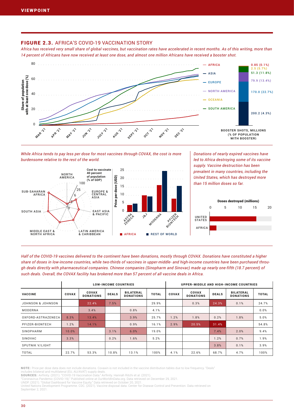## FIGURE 2.3. AFRICA'S COVID-19 VACCINATION STORY

*Africa has received very small share of global vaccines, but vaccination rates have accelerated in recent months. As of this writing, more than 14 percent of Africans have now received at least one dose, and almost one million Africans have received a booster shot.*



*Donations of nearly expired vaccines have* 

While Africa tends to pay less per dose for most vaccines through COVAX, the cost is more *burdensome relative to the rest of the world.* 



*Half of the COVID-19 vaccines delivered to the continent have been donations, mostly through COVAX. Donations have constituted a higher share of doses in low-income countries, while two-thirds of vaccines in upper-middle- and high-income countries have been purchased through deals directly with pharmaceutical companies. Chinese companies (Sinopharm and Sinovac) made up nearly one-fifth (18.7 percent) of such deals. Overall, the COVAX facility has brokered more than 57 percent of all vaccine deals in Africa.*

|                    |              |                                  | <b>LOW-INCOME COUNTRIES</b> |                                      |              | UPPER-MIDDLE AND HIGH-INCOME COUNTRIES |                                  |              |                                      |              |
|--------------------|--------------|----------------------------------|-----------------------------|--------------------------------------|--------------|----------------------------------------|----------------------------------|--------------|--------------------------------------|--------------|
| <b>VACCINE</b>     | <b>COVAX</b> | <b>COVAX</b><br><b>DONATIONS</b> | <b>DEALS</b>                | <b>BILATERAL</b><br><b>DONATIONS</b> | <b>TOTAL</b> | <b>COVAX</b>                           | <b>COVAX</b><br><b>DONATIONS</b> | <b>DEALS</b> | <b>BILATERAL</b><br><b>DONATIONS</b> | <b>TOTAL</b> |
| JOHNSON & JOHNSON  |              | 22.4%                            | 7.5%                        |                                      | 29.9%        |                                        | 0.3%                             | 24.3%        | 0.1%                                 | 24.7%        |
| MODERNA            |              | 3.4%                             |                             | 0.8%                                 | 4.1%         |                                        |                                  |              |                                      | 0.0%         |
| OXFORD-ASTRAZENECA | 8.3%         | 13.4%                            |                             | 3.9%                                 | 25.7%        | 1.2%                                   | 1.8%                             | 0.2%         | 1.8%                                 | 5.0%         |
| PFIZER-BIONTECH    | 1.2%         | 14.1%                            |                             | 0.9%                                 | 16.1%        | 2.9%                                   | 20.5%                            | 31.4%        |                                      | 54.8%        |
| SINOPHARM          | 10.0%        |                                  | 3.1%                        | 6.0%                                 | 19.0%        |                                        |                                  | 7.4%         | 2.0%                                 | 9.4%         |
| SINOVAC            | 3.3%         |                                  | 0.2%                        | 1.6%                                 | 5.2%         |                                        |                                  | 1.2%         | 0.7%                                 | 1.9%         |
| SPUTNIK V/LIGHT    |              |                                  |                             |                                      |              |                                        |                                  | 3.8%         | 0.1%                                 | 3.9%         |
| <b>TOTAL</b>       | 22.7%        | 53.3%                            | 10.8%                       | 13.1%                                | 100%         | 4.1%                                   | 22.6%                            | 68.7%        | 4.7%                                 | 100%         |

NOTE: Price per dose data does not include donations. Covaxin is not included in the vaccine distribution tables due to low frequency. "Deals"

includes bilateral and multilateral (EU, AU/AVAT) supply deals.<br>**SOURCES:** Airfinity. (2021). "COVID-19 Vaccination Data." Airfinity. Hannah Ritchi et al. (2021).

navirus Pandemic (COVID-19)." Published online at OurWorldInData.org. Data retrieved on December 29, 2021

UNDP. (2021). "Global Dashboard for Vaccine Equity." Data retrieved on October 20, 2021. United Nations Development Programme. CDC. (2021). Vaccine disposal data. Center for Disease Control and Prevention. Data retrieved on

September 2, 2021.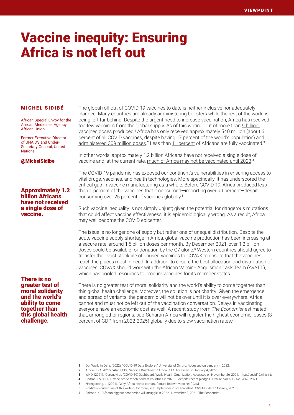# Vaccine inequity: Ensuring Africa is not left out

#### MICHEL SIDIBÉ

African Special Envoy for the African Medicines Agency, African Union

Former Executive Director of UNAIDS and Under-Secretary-General, United **Nations** 

@MichelSidibe

## Approximately 1.2 billion Africans have not received a single dose of vaccine.

There is no greater test of moral solidarity and the world's ability to come together than this global health challenge.

The global roll-out of COVID-19 vaccines to date is neither inclusive nor adequately planned: Many countries are already administering boosters while the rest of the world is being left far behind. Despite the urgent need to increase vaccination, Africa has received too few vaccines from the global supply: As of this writing, out of more than 9 billion [vaccines doses produced,](https://ourworldindata.org/explorers/coronavirus-data-explorer?zoomToSelection=true&time=2020-03-01..latest&facet=none&pickerSort=asc&pickerMetric=location&Metric=Confirmed+cases&Interval=7-day+rolling+average&Relative+to+Population=true&Color+by+test+positivity=false&country=USA~GBR~CAN~DEU~ITA~IND) 1 Africa has only received approximately 540 million (about 6 percent of all COVID vaccines, despite having 17 percent of the world's population) and [administered 309 million doses.](https://africacdc.org/covid-19-vaccination/)<sup>2</sup> Less than [11 percent](https://covid19.who.int/) of Africans are fully vaccinated.<sup>3</sup>

In other words, approximately 1.2 billion Africans have not received a single dose of vaccine and, at the current rate, [much of Africa may not be vaccinated until 2023](https://www.nature.com/articles/d41586-021-01762-w).<sup>4</sup>

The COVID-19 pandemic has exposed our continent's vulnerabilities in ensuring access to vital drugs, vaccines, and health technologies. More specifically, it has underscored the critical gap in vaccine manufacturing as a whole: Before COVID-19, [Africa produced less](https://www.gavi.org/vaccineswork/why-africa-needs-manufacture-its-own-vaccines)  [than 1 percent of the vaccines that it consumed](https://www.gavi.org/vaccineswork/why-africa-needs-manufacture-its-own-vaccines)—importing over 99 percent—despite consuming over 25 percent of vaccines globally.<sup>5</sup>

Such vaccine inequality is not simply unjust; given the potential for dangerous mutations that could affect vaccine effectiveness, it is epidemiologically wrong. As a result, Africa may well become the COVID epicenter.

The issue is no longer one of supply but rather one of unequal distribution. Despite the acute vaccine supply shortage in Africa, global vaccine production has been increasing at a secure rate, around 1.5 billion doses per month. By December 2021, over 1.2 billion [doses could be available](https://www.ifpma.org/wp-content/uploads/2021/09/Airfinity_September_2021_Snapshot_COVID-19_Data.pdf) for donation by the G7 alone.<sup>6</sup> Western countries should agree to transfer their vast stockpile of unused vaccines to COVAX to ensure that the vaccines reach the places most in need. In addition, to ensure the best allocation and distribution of vaccines, COVAX should work with the African Vaccine Acquisition Task Team (AVATT), which has pooled resources to procure vaccines for its member states.

There is no greater test of moral solidarity and the world's ability to come together than this global health challenge. Moreover, the solution is not charity: Given the emergence and spread of variants, the pandemic will not be over until it is over everywhere. Africa cannot and must not be left out of the vaccination conversation. Delays in vaccinating everyone have an economic cost as well. A recent study from *The Economist* estimated that, among other regions, [sub-Saharan Africa will register the highest economic losses](https://www.economist.com/the-world-ahead/2021/11/08/africas-biggest-economies-will-struggle-in-2022) (3 percent of GDP from 2022-2025) globally due to slow vaccination rates.<sup>7</sup>

<sup>1</sup> Our World in Data. (2022). "COVID-19 Data Explorer." University of Oxford. Accessed on January 4, 2022.

<sup>2</sup> Africa CDC (2022). "Africa CDC Vaccine Dashboard." Africa CDC. Accessed on January 4, 2022.

<sup>3</sup> WHO. (2021). "Coronavirus (COVID-19) Dashboard. World Health Organization. Accessed on November 26, 2021. https://covid19.who.int/ 4 Padma, T.V. "COVID vaccines to reach poorest countries in 2023 — despite recent pledges." Nature, Vol. 595, No. 7867, 2021.

<sup>5</sup> Nkengasong, J. (2021). "Why Africa needs to manufacture its own vaccines." Gavi.

<sup>6</sup> Prediction current as of this writing, for more, see: September 2021 snapshot COVID-19 data." Airfinity, 2021.

<sup>7</sup> Salmon, K., "Africa's biggest economies will struggle in 2022." November 8, 2021. The Economist.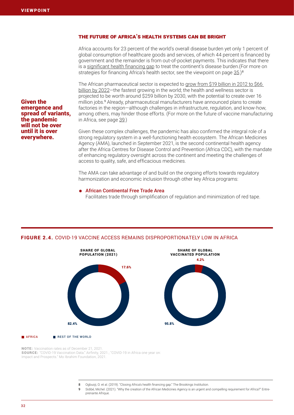Given the

emergence and spread of variants, the pandemic will not be over until it is over everywhere.

## The future of Africa's health systems can be bright

Africa accounts for 23 percent of the world's overall disease burden yet only 1 percent of global consumption of healthcare goods and services, of which 44 percent is financed by government and the remainder is from out-of-pocket payments. This indicates that there is a [significant health financing gap](https://www.brookings.edu/blog/future-development/2019/03/01/closing-africas-health-financing-gap/) to treat the continent's disease burden. (For more on strategies for financing Africa's health sector, see the viewpoint on page  $35.$ <sup>8</sup>

The African pharmaceutical sector is expected to [grow from \\$19 billion in 2012 to \\$66](https://www.entreprenanteafrique.com/en/why-the-creation-of-the-african-medicines-agency-is-an-urgent-and-compelling-requirement-for-africa/)  [billion by 2022—](https://www.entreprenanteafrique.com/en/why-the-creation-of-the-african-medicines-agency-is-an-urgent-and-compelling-requirement-for-africa/)the fastest growing in the world; the health and wellness sector is projected to be worth around \$259 billion by 2030, with the potential to create over 16 million jobs.<sup>9</sup> Already, pharmaceutical manufacturers have announced plans to create factories in the region—although challenges in infrastructure, regulation, and know-how, among others, may hinder those efforts. (For more on the future of vaccine manufacturing in Africa, see page 39.)

Given these complex challenges, the pandemic has also confirmed the integral role of a strong regulatory system in a well-functioning health ecosystem. The African Medicines Agency (AMA), launched in September 2021, is the second continental health agency after the Africa Centres for Disease Control and Prevention (Africa CDC), with the mandate of enhancing regulatory oversight across the continent and meeting the challenges of access to quality, safe, and efficacious medicines.

The AMA can take advantage of and build on the ongoing efforts towards regulatory harmonization and economic inclusion through other key Africa programs:

## ⁕ African Continental Free Trade Area

Facilitates trade through simplification of regulation and minimization of red tape.



### FIGURE 2.4. COVID-19 VACCINE ACCESS REMAINS DISPROPORTIONATELY LOW IN AFRICA

NOTE: Vaccination rates as of December 21, 2021. SOURCE: "COVID-19 Vaccination Data." Airfinity, 2021.; "COVID-19 in Africa one year on: Impact and Prospects." Mo Ibrahim Foundation, 2021.

- 8 Ogbuoji, O. et al. (2019). "Closing Africa's health financing gap." The Brookings Institution.
- 9 Sidibé, Michel. (2021). "Why the creation of the African Medicines Agency is an urgent and compelling requirement for Africa?" Entreprenante Afrique.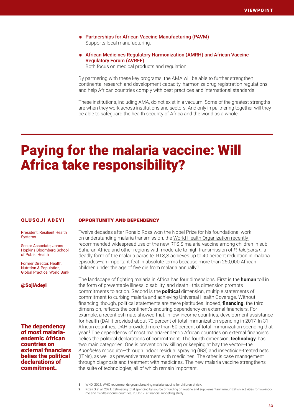- ⁕ Partnerships for African Vaccine Manufacturing (PAVM) Supports local manufacturing.
- ⁕ African Medicines Regulatory Harmonization (AMRH) and African Vaccine Regulatory Forum (AVREF)

Both focus on medical products and regulation.

By partnering with these key programs, the AMA will be able to further strengthen continental research and development capacity, harmonize drug registration regulations, and help African countries comply with best practices and international standards.

These institutions, including AMA, do not exist in a vacuum. Some of the greatest strengths are when they work across institutions and sectors. And only in partnering together will they be able to safeguard the health security of Africa and the world as a whole.

# Paying for the malaria vaccine: Will Africa take responsibility?

### OLUSOJI ADEYI

President, Resilient Health **Systems** 

Senior Associate, Johns Hopkins Bloomberg School of Public Health

Former Director, Health, Nutrition & Population, Global Practice, World Bank

@SojiAdeyi

The dependency of most malariaendemic African countries on external financiers belies the political declarations of commitment.

#### Opportunity and dependency

Twelve decades after Ronald Ross won the Nobel Prize for his foundational work on understanding malaria transmission, the World Health Organization recently [recommended widespread use of the new RTS,S malaria vaccine among children in sub-](https://www.who.int/news/item/06-10-2021-who-recommends-groundbreaking-malaria-vaccine-for-children-at-risk)[Saharan Africa and other regions](https://www.who.int/news/item/06-10-2021-who-recommends-groundbreaking-malaria-vaccine-for-children-at-risk) with moderate to high transmission of *P. falciparum*, a deadly form of the malaria parasite. RTS,S achieves up to 40 percent reduction in malaria episodes—an important feat in absolute terms because more than 260,000 African children under the age of five die from malaria annually.<sup>1</sup>

The landscape of fighting malaria in Africa has four dimensions. First is the **human** toll in the form of preventable illness, disability, and death—this dimension prompts commitments to action. Second is the **political** dimension, multiple statements of commitment to curbing malaria and achieving Universal Health Coverage. Without financing, though, political statements are mere platitudes. Indeed, **financing**, the third dimension, reflects the continent's enduring dependency on external financiers. For example, [a recent estimate](https://www.thelancet.com/action/showPdf?pii=S0140-6736%2821%2901591-9) showed that, in low-income countries, development assistance for health (DAH) provided about 70 percent of total immunization spending in 2017. In 31 African countries, DAH provided more than 50 percent of total immunization spending that year.<sup>2</sup> The dependency of most malaria-endemic African countries on external financiers belies the political declarations of commitment. The fourth dimension, **technology**, has two main categories. One is prevention by killing or keeping at bay the vector—the *Anopheles* mosquito—through indoor residual spraying (IRS) and insecticide-treated nets (ITNs), as well as preventive treatment with medicines. The other is case management through diagnosis and treatment with medicines. The new malaria vaccine strengthens the suite of technologies, all of which remain important.

- 1 WHO. 2021. WHO recommends groundbreaking malaria vaccine for children at risk.
- 2 Kizeli G et al. 2021. Estimating total spending by source of funding on routine and supplementary immunization activities for low-income and middle-income countries, 2000-17: a financial modelling study.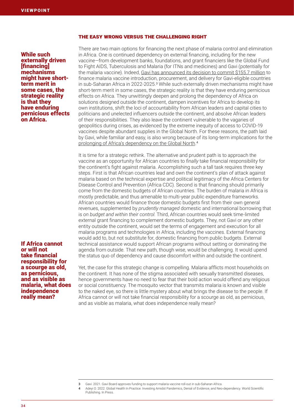#### The easy wrong versus the challenging right

While such externally driven [financing] mechanisms might have shortterm merit in some cases, the strategic reality is that they have enduring pernicious effects on Africa.

If Africa cannot or will not take financial responsibility for a scourge as old, as pernicious, and as visible as malaria, what does independence really mean?

There are two main options for financing the next phase of malaria control and elimination in Africa. One is continued dependency on external financing, including for the new vaccine—from development banks, foundations, and grant financiers like the Global Fund to Fight AIDS, Tuberculosis and Malaria (for ITNs and medicines) and Gavi (potentially for the malaria vaccine). Indeed, [Gavi has announced its decision to commit \\$155.7 million](https://www.gavi.org/news/media-room/gavi-board-approves-funding-support-malaria-vaccine-roll-out-sub-saharan-africa) to finance malaria vaccine introduction, procurement, and delivery for Gavi-eligible countries in sub-Saharan Africa in 2022-2025.<sup>3</sup> While such externally driven mechanisms might have short-term merit in some cases, the strategic reality is that they have enduring pernicious effects on Africa. They unwittingly deepen and prolong the dependency of Africa on solutions designed outside the continent, dampen incentives for Africa to develop its own institutions, shift the loci of accountability from African leaders and capital cities to politicians and unelected influencers outside the continent, and absolve African leaders of their responsibilities. They also leave the continent vulnerable to the vagaries of geopolitics during crises, as evidenced by the extreme inequity of access to COVID-19 vaccines despite abundant supplies in the Global North. For these reasons, the path laid by Gavi, while familiar and easy, is also wrong because of its long-term implications for the [prolonging of Africa's dependency on the Global North](https://www.worldscientific.com/worldscibooks/10.1142/12520). 4

It is time for a strategic rethink. The alternative and prudent path is to approach the vaccine as an opportunity for African countries to *finally* take financial responsibility for the continent's fight against malaria. Accomplishing such a tall task requires three key steps. First is that African countries lead and own the continent's plan of attack against malaria based on the technical expertise and political legitimacy of the Africa Centers for Disease Control and Prevention (Africa CDC). Second is that financing should primarily come from the domestic budgets of African countries. The burden of malaria in Africa is mostly predictable, and thus amenable to multi-year public expenditure frameworks. African countries would finance those domestic budgets first from their own general revenues, supplemented by *prudently managed* domestic and international borrowing that is *on budget and within their control*. Third, African countries would seek time-limited external grant financing to complement domestic budgets. They, not Gavi or any other entity outside the continent, would set the terms of engagement and execution for all malaria programs and technologies in Africa, including the vaccines. External financing would add to, but not substitute for, domestic financing from public budgets. External technical assistance would support African programs without setting or dominating the agenda from outside. That new path, though wise, would be challenging. It would upend the status quo of dependency and cause discomfort within and outside the continent.

Yet, the case for this strategic change is compelling. Malaria afflicts most households on the continent. It has none of the stigma associated with sexually transmitted diseases, hence governments have no need to fear that their bold action would offend any religious or social constituency. The mosquito vector that transmits malaria is known and visible to the naked eye, so there is little mystery about what brings the disease to the people. If Africa cannot or will not take financial responsibility for a scourge as old, as pernicious, and as visible as malaria, what does independence really mean?

<sup>3</sup> Gavi. 2021. Gavi Board approves funding to support malaria vaccine roll-out in sub-Saharan Africa.

Adeyi O. 2022. Global Health In Practice. Investing Amidst Pandemics, Denial of Evidence, and Neo-dependency. World Scientific Publishing. In Press.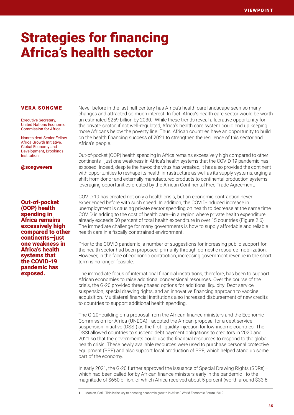## Strategies for financing Africa's health sector

#### VERA SONGWE

Executive Secretary, United Nations Economic Commission for Africa

Nonresident Senior Fellow, Africa Growth Initiative, Global Economy and Development, Brookings Institution

@songwevera

Out-of-pocket (OOP) health spending in Africa remains excessively high compared to other continents—just one weakness in Africa's health systems that the COVID-19 pandemic has exposed.

Never before in the last half century has Africa's health care landscape seen so many changes and attracted so much interest. In fact, Africa's health care sector would be worth an estimated \$259 billion by 2030.<sup>1</sup> While these trends reveal a lucrative opportunity for the private sector, if not well-regulated, Africa's health care system could end up keeping more Africans below the poverty line. Thus, African countries have an opportunity to build on the health financing success of 2021 to strengthen the resilience of this sector and Africa's people.

Out-of-pocket (OOP) health spending in Africa remains excessively high compared to other continents—just one weakness in Africa's health systems that the COVID-19 pandemic has exposed. Indeed, despite the havoc the virus has wreaked, it has also provided the continent with opportunities to reshape its health infrastructure as well as its supply systems, urging a shift from donor and externally manufactured products to continental production systems leveraging opportunities created by the African Continental Free Trade Agreement.

COVID-19 has created not only a health crisis, but an economic contraction never experienced before with such speed. In addition, the COVID-induced increase in unemployment is causing private sector spending on health to decrease at the same time COVID is adding to the cost of health care—in a region where private health expenditure already exceeds 50 percent of total health expenditure in over 15 countries (Figure 2.6). The immediate challenge for many governments is how to supply affordable and reliable health care in a fiscally constrained environment.

Prior to the COVID pandemic, a number of suggestions for increasing public support for the health sector had been proposed, primarily through domestic resource mobilization. However, in the face of economic contraction, increasing government revenue in the short term is no longer feasible.

The immediate focus of international financial institutions, therefore, has been to support African economies to raise additional concessional resources. Over the course of the crisis, the G-20 provided three phased options for additional liquidity: Debt service suspension, special drawing rights, and an innovative financing approach to vaccine acquisition. Multilateral financial institutions also increased disbursement of new credits to countries to support additional health spending.

The G-20–building on a proposal from the African finance ministers and the Economic Commission for Africa (UNECA)—adopted the African proposal for a debt service suspension initiative (DSSI) as the first liquidity injection for low-income countries. The DSSI allowed countries to suspend debt payment obligations to creditors in 2020 and 2021 so that the governments could use the financial resources to respond to the global health crisis. These newly available resources were used to purchase personal protective equipment (PPE) and also support local production of PPE, which helped stand up some part of the economy.

In early 2021, the G-20 further approved the issuance of Special Drawing Rights (SDRs) which had been called for by African finance ministers early in the pandemic—to the magnitude of \$650 billion, of which Africa received about 5 percent (worth around \$33.6

1 Manlan, Carl. "This is the key to boosting economic growth in Africa." World Economic Forum, 2019.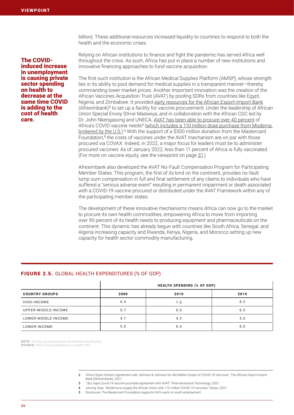The COVIDinduced increase in unemployment is causing private sector spending on health to decrease at the same time COVID is adding to the cost of health care.

billion). These additional resources increased liquidity to countries to respond to both the health and the economic crises.

Relying on African institutions to finance and fight the pandemic has served Africa well throughout the crisis. As such, Africa has put in place a number of new institutions and innovative financing approaches to fund vaccine acquisition.

The first such institution is the African Medical Supplies Platform (AMSP), whose strength lies in its ability to pool demand for medical supplies in a transparent manner—thereby commanding lower market prices. Another important innovation was the creation of the African Vaccines Acquisition Trust (AVAT) by pooling SDRs from countries like Egypt, Nigeria, and Zimbabwe. It provided [early resources for the African Export-Import Bank](https://www.afreximbank.com/africa-signs-historic-agreement-with-johnson-johnson-for-400-million-doses-of-covid-19-vaccines/) (Afreximbank)<sup>2</sup> to set up a facility for vaccine procurement. Under the leadership of African Union Special Envoy Strive Masiwiya, and in collaboration with the African CDC led by Dr. John Nkengasong and UNECA, [AVAT has been able to procure over 40 percent](https://www.pharmaceutical-technology.com/news/jj-vaccine-purchase-agreement-avat/) of Africa's COVID vaccine needs<sup>3</sup> (which includes a 110 million dose purchase from Moderna [brokered by the U.S.\)](https://www.devex.com/news/moderna-to-supply-the-african-union-with-110-million-covid-19-vaccines-101907).<sup>4</sup> With the support of a \$500 million donation from the Mastercard Foundation,<sup>5</sup> the costs of vaccines under the AVAT mechanism are on par with those procured via COVAX. Indeed, in 2022, a major focus for leaders must be to administer procured vaccines: As of January 2022, less than 11 percent of Africa is fully vaccinated. (For more on vaccine equity, see the viewpoint on page 31.)

Afreximbank also developed the AVAT No-Fault Compensation Program for Participating Member States. This program, the first of its kind on the continent, provides no-fault lump-sum compensation in full and final settlement of any claims to individuals who have suffered a "serious adverse event" resulting in permanent impairment or death associated with a COVID-19 vaccine procured or distributed under the AVAT Framework within any of the participating member states.

The development of these innovative mechanisms means Africa can now go to the market to procure its own health commodities, empowering Africa to move from importing over 90 percent of its health needs to producing equipment and pharmaceuticals on the continent. This dynamic has already begun with countries like South Africa, Senegal, and Algeria increasing capacity and Rwanda, Kenya, Nigeria, and Morocco setting up new capacity for health sector commodity manufacturing.

## FIGURE 2.5. GLOBAL HEALTH EXPENDITURES (% OF GDP)

|                       | <b>HEALTH SPENDING (% OF GDP)</b> |      |      |  |  |  |
|-----------------------|-----------------------------------|------|------|--|--|--|
| <b>COUNTRY GROUPS</b> | 2000                              | 2010 | 2019 |  |  |  |
| HIGH-INCOME           | 6.4                               | 7.6  | 8.3  |  |  |  |
| UPPER-MIDDLE-INCOME   | 5.7                               | 6.0  | 6.5  |  |  |  |
| LOWER-MIDDLE-INCOME   | 4.7                               | 4.3  | 5.0  |  |  |  |
| LOWER-INCOME          | 5.5                               | 6.4  | 6.0  |  |  |  |

NOTE: Country groups based on World Bank classification. SOURCE: WHO Global expenditure on health 2021.

> 2 "Africa Signs Historic Agreement with Johnson & Johnson for 400 Million Doses of COVID-19 Vaccines." The African Export-Import Bank (Afreximbank), 2021.

- 3 "J&J signs Covid-19 vaccine purchase agreement with AVAT." Pharmaceutical Technology, 2021.
- 4 Jerving, Sara. "Moderna to supply the African Union with 110 million COVID-19 vaccines." Devex, 2021.
- 5 Disclosure: The Mastercard Foundation supports AGI's work on youth employment.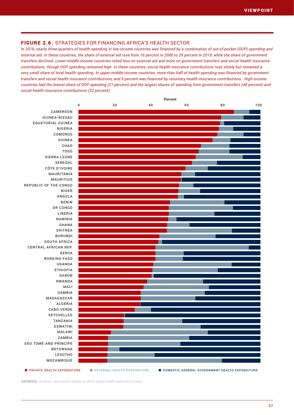## FIGURE 2.6. STRATEGIES FOR FINANCING AFRICA'S HEALTH SECTOR

*In 2019, nearly three-quarters of health spending in low-income countries was financed by a combination of out-of-pocket (OOP) spending and external aid. In these countries, the share of external aid rose from 16 percent in 2000 to 29 percent in 2019, while the share of government transfers declined. Lower-middle-income countries relied less on external aid and more on government transfers and social health insurance contributions, though OOP spending remained high. In these countries, social health insurance contributions rose slowly but remained a very small share of total health spending. In upper-middle-income countries, more than half of health spending was financed by government transfers and social health insurance contributions, and 9 percent was financed by voluntary health insurance contributions. High-income countries had the lowest share of OOP spending (21 percent) and the largest shares of spending from government transfers (48 percent) and social health insurance contributions (22 percent).*



SOURCE: Authors' calculations based on WHO global health expenditure data.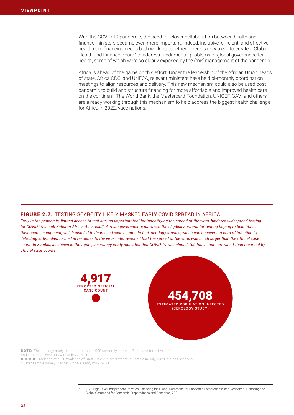With the COVID-19 pandemic, the need for closer collaboration between health and finance ministers became even more important. Indeed, inclusive, efficient, and effective health care financing needs both working together. There is now a call to create a Global Health and Finance Board<sup>6</sup> to address fundamental problems of global governance for health, some of which were so clearly exposed by the (mis)management of the pandemic.

Africa is ahead of the game on this effort: Under the leadership of the African Union heads of state, Africa CDC, and UNECA, relevant ministers have held bi-monthly coordination meetings to align resources and delivery. This new mechanism could also be used postpandemic to build and structure financing for more affordable and improved health care on the continent. The World Bank, the Mastercard Foundation, UNICEF, GAVI and others are already working through this mechanism to help address the biggest health challenge for Africa in 2022: vaccinations.

## FIGURE 2.7. TESTING SCARCITY LIKELY MASKED EARLY COVID SPREAD IN AFRICA

*Early in the pandemic, limited access to test kits, an important tool for indentifying the spread of the virus, hindered widespread testing for COVID-19 in sub-Saharan Africa. As a result, African governments narrowed the eligibility criteria for testing hoping to best utilize their scarce equipment, which also led to depressed case counts. In fact, serology studies, which can uncover a record of infection by detecting anti-bodies formed in response to the virus, later revealed that the spread of the virus was much larger than the official case count. In Zambia, as shown in the figure, a serology study indicated that COVID-19 was almost 100 times more prevalent than recorded by official case counts.*





NOTE: The serology study tested more than 4,000 randomly sampled Zambians for active infection and antibodies over July 4 to July 27, 2020. SOURCE: Mulenga et al. "Prevalence of SARS-CoV-2 in six districts in Zambia in July, 2020: a cross-sectional

cluster sample survey." *Lancet Global Health*, Vol 9, 2021.

6 "G20 High Level Independent Panel on Financing the Global Commons for Pandemic Preparedness and Response" Financing the Global Commons for Pandemic Preparedness and Response, 2021.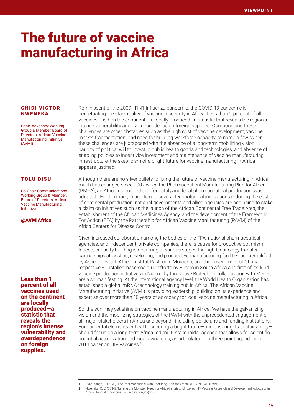# The future of vaccine manufacturing in Africa

### CHIDI VICTOR NWENEKA

Chair, Advocacy Working Group & Member, Board of Directors, African Vaccine Manufacturing Initiative (AVMI)

## TOLU DISU

Co-Chair Communications Working Group & Member, Board of Directors, African Vaccine Manufacturing Initiative

### @AVMIAfrica

Less than 1 percent of all vaccines used on the continent are locally produced—a statistic that reveals the region's intense vulnerability and overdependence on foreign supplies.

Reminiscent of the 2009 H1N1 Influenza pandemic, the COVID-19 pandemic is perpetuating the stark reality of vaccine insecurity in Africa. Less than 1 percent of all vaccines used on the continent are locally produced—a statistic that reveals the region's intense vulnerability and overdependence on foreign supplies. Compounding these challenges are other obstacles such as the high cost of vaccine development, vaccine market fragmentation, and need for building workforce capacity, to name a few. When these challenges are juxtaposed with the absence of a long-term mobilizing vision, paucity of political will to invest in public health goods and technologies, and absence of enabling policies to incentivize investment and maintenance of vaccine manufacturing infrastructure, the skepticism of a bright future for vaccine manufacturing in Africa appears justified.

Although there are no silver bullets to fixing the future of vaccine manufacturing in Africa, much has changed since 2007 when [the Pharmaceutical Manufacturing Plan for Africa](https://www.nepad.org/news/pharmaceutical-manufacturing-plan-africa)  [\(PMPA\)](https://www.nepad.org/news/pharmaceutical-manufacturing-plan-africa), an African Union-led tool for catalyzing local pharmaceutical production, was adopted.<sup>1</sup> Furthermore, in addition to several technological innovations reducing the cost of continental production, national governments and allied agencies are beginning to stake a claim on initiatives such as the launch of the African Continental Free Trade Area, the establishment of the African Medicines Agency, and the development of the Framework For Action (FFA) by the Partnership for African Vaccine Manufacturing (PAVM) of the Africa Centers for Disease Control.

Given increased collaboration among the bodies of the FFA, national pharmaceutical agencies, and independent, private companies, there is cause for productive optimism. Indeed, capacity building is occurring at various stages through technology transfer partnerships at existing, developing, and prospective manufacturing facilities as exemplified by Aspen in South Africa, Institut Pasteur in Morocco, and the government of Ghana, respectively. Installed-base scale-up efforts by Biovac in South Africa and first-of-its-kind vaccine production initiatives in Nigeria by Innovative Biotech, in collaboration with Merck, are also manifesting. At the international agency level, the World Health Organization has established a global mRNA technology training hub in Africa. The African Vaccine Manufacturing Initiative (AVMI) is providing leadership, building on its experience and expertise over more than 10 years of advocacy for local vaccine manufacturing in Africa.

So, the sun may yet shine on vaccine manufacturing in Africa. We have the galvanizing vision and the mobilizing strategies of the PAVM with the unprecedented engagement of all major stakeholders in Africa and beyond—including politicians and funding institutions. Fundamental elements critical to securing a bright future—and ensuring its sustainability should focus on a long-term Africa-led multi-stakeholder agenda that allows for scientific potential actualization and local ownership, [as articulated in a three-point agenda in a](https://doi.org/10.4172/2157-7560.1000243)  [2014 paper on HIV vaccines](https://doi.org/10.4172/2157-7560.1000243):<sup>2</sup>

<sup>1</sup> Byaruhanga, J. (2020). The Pharmaceutical Manufacturing Plan for Africa. AUDA-NEPAD News.

<sup>2</sup> Nweneka, C. V. (2014). Taming the Monster: Need for Africa-initiated, Africa-led HIV Vaccine Research and Development Advocacy in Africa. Journal of Vaccines & Vaccination, 05(05).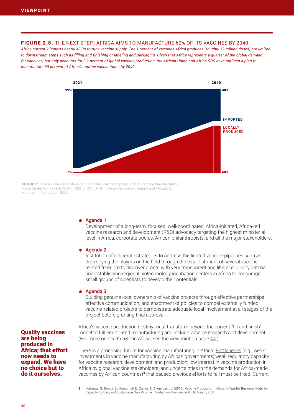## FIGURE 2.8. THE NEXT STEP : AFRICA AIMS TO MANUFACTURE 60% OF ITS VACCINES BY 2040

*Africa currently imports nearly all its routine vaccine supply. The 1 percent of vaccines Africa produces (roughly 12 million doses) are limited to downstream steps such as filling and finishing or labeling and packaging. Given that Africa represents a quarter of the global demand for vaccines, but only accounts for 0.1 percent of global vaccine production, the African Union and Africa CDC have outlined a plan to manufacture 60 percent of Africa's routine vaccinations by 2040.* 



SOURCE: "African Union and Africa CDC launches Partnerships for African Vaccine Manufacturing." Africa Center for Disease Control, 2021.; "COVID-19 in Africa one year on: Impact and Prospects." Mo Ibrahim Foundation, 2021.

#### ⁕ Agenda 1

Development of a long-term, focused, well-coordinated, Africa-initiated, Africa-led vaccine research and development (R&D) advocacy targeting the highest ministerial level in Africa, corporate bodies, African philanthropists, and all the major stakeholders.

#### ⁕ Agenda 2

Institution of deliberate strategies to address the limited vaccine pipelines such as diversifying the players on the field through the establishment of several vaccine related freedom to discover grants with very transparent and liberal eligibility criteria, and establishing regional biotechnology incubation centers in Africa to encourage small groups of scientists to develop their potentials.

#### ⁕ Agenda 3

Building genuine local ownership of vaccine projects through effective partnerships, effective communication, and enactment of policies to compel externally funded vaccine-related projects to demonstrate adequate local involvement at all stages of the project before granting final approval.

Africa's vaccine production destiny must transform beyond the current "fill and finish" model to full end-to-end manufacturing and include vaccine research and development. (For more on health R&D in Africa, see the viewpoint on page  $44$ .)

There is a promising future for vaccine manufacturing in Africa. [Bottlenecks](https://doi.org/10.3389/fpubh.2019.00056) (e.g., weak investments in vaccine manufacturing by African governments; weak regulatory capacity for vaccine research, development, and production; low interest in vaccine production in Africa by global vaccine stakeholders; and uncertainties in the demands for Africa-made vaccines by African countries)<sup>3</sup> that caused previous efforts to fail must be fixed. Current

Quality vaccines are being produced in Africa; that effort now needs to expand. We have no choice but to do it ourselves.

<sup>3</sup> Makenga, G., Bonoli, S., Montomoli, E., Carrier, T., & Auerbach, J. (2019). Vaccine Production in Africa: A Feasible Business Model for Capacity Building and Sustainable New Vaccine Introduction. Frontiers in Public Health, 7, 56.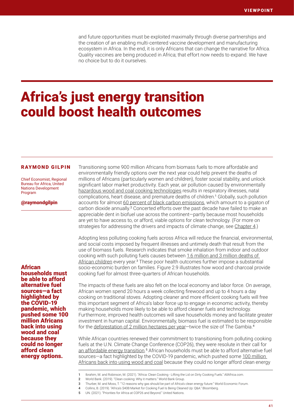and future opportunities must be exploited maximally through diverse partnerships and the creation of an enabling multi-centered vaccine development and manufacturing ecosystem in Africa. In the end, it is only Africans that can change the narrative for Africa. Quality vaccines are being produced in Africa; that effort now needs to expand. We have no choice but to do it ourselves.

## Africa's just energy transition could boost health outcomes

#### RAYMOND GILPIN

Chief Economist, Regional Bureau for Africa, United Nations Development Program

@raymondgilpin

African households must be able to afford alternative fuel sources—a fact highlighted by the COVID-19 pandemic, which pushed some 100 million Africans back into using wood and coal because they could no longer afford clean energy options.

Transitioning some 900 million Africans from biomass fuels to more affordable and environmentally friendly options over the next year could help prevent the deaths of millions of Africans (particularly women and children), foster social stability, and unlock significant labor market productivity. Each year, air pollution caused by environmentally [hazardous wood and coal cooking technologies](https://allafrica.com/stories/202107010890.html) results in respiratory illnesses, natal complications, heart disease, and premature deaths of children.<sup>1</sup> Globally, such pollution accounts for almost [60 percent of black carbon emissions,](https://www.worldbank.org/en/news/feature/2019/11/04/why-clean-cooking-matters#:~:text=Cooking%20is%20a%20fundamental%20part%20of%20life.&text=Clean%20cooking%20must%20be%20a,the%20scale%20of%20investment%20matter.) which amount to a gigaton of carbon dioxide annually.<sup>2</sup> Concerted efforts over the past decade have failed to make an appreciable dent in biofuel use across the continent—partly because most households are yet to have access to, or afford, viable options for clean technology. (For more on strategies for addressing the drivers and impacts of climate change, see Chapter 4.)

Adopting less polluting cooking fuels across Africa will reduce the financial, environmental, and social costs imposed by frequent illnesses and untimely death that result from the use of biomass fuels. Research indicates that smoke inhalation from indoor and outdoor cooking with such polluting fuels causes between [1.6 million and 3 million deaths of](https://www.weforum.org/agenda/2020/07/12-reasons-gas-africas-renewable-energy-future/)  [African children](https://www.weforum.org/agenda/2020/07/12-reasons-gas-africas-renewable-energy-future/) every year.<sup>3</sup> These poor health outcomes further impose a substantial socio-economic burden on families. Figure 2.9 illustrates how wood and charcoal provide cooking fuel for almost three-quarters of African households.

The impacts of these fuels are also felt on the local economy and labor force. On average, African women spend 20 hours a week collecting firewood and up to 4 hours a day cooking on traditional stoves. Adopting cleaner and more efficient cooking fuels will free this important segment of Africa's labor force up to engage in economic activity, thereby making households more likely to be able to afford cleaner fuels and technology. Furthermore, improved health outcomes will save households money and facilitate greater investment in human capital. Environmentally, biomass fuel is estimated to be responsible for the deforestation of 2 million hectares per year-twice the size of The Gambia.<sup>4</sup>

While African countries renewed their commitment to transitioning from polluting cooking fuels at the U.N. Climate Change Conference (COP26), they were resolute in their call for [an affordable energy transition.](https://www.un.org/africarenewal/magazine/november-2021/priorities-africa-cop26-and-beyond#:~:text=Three%20top%20priorities%20at%20COP26,total%20spent%20on%20climate%20action.
)<sup>5</sup> African households must be able to afford alternative fuel sources—a fact highlighted by the COVID-19 pandemic, which pushed some 100 million [Africans back into using wood and coal](https://www.iea.org/reports/world-energy-outlook-2020) because they could no longer afford clean energy

<sup>1</sup> Ibrahim, M. and Robinson, M. (2021). "Africa: Clean Cooking - Lifting the Lid on Dirty Cooking Fuels." AllAfrica.com.

<sup>2</sup> World Bank. (2019). "Clean cooking: Why it matters." World Bank Group.

<sup>3</sup> Thurber, M. and Moss, T. "12 reasons why gas should be part of Africa's clean energy future." World Economic Forum.

<sup>4</sup> Collins, B. (2019). "Africa's \$40B Market for Cooking Fuel Is Being Cleaned Up: Q&A." Bloomberg.

<sup>5</sup> UN. (2021). "Priorities for Africa at COP26 and Beyond." United Nations.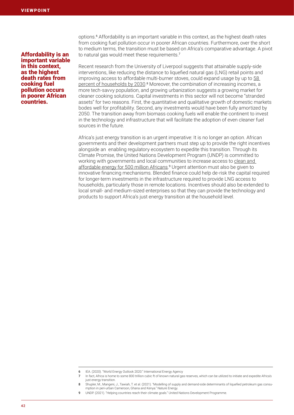Affordability is an important variable in this context, as the highest death rates from cooking fuel pollution occurs in poorer African countries.

options.<sup>6</sup> Affordability is an important variable in this context, as the highest death rates from cooking fuel pollution occur in poorer African countries. Furthermore, over the short to medium terms, the transition must be based on Africa's comparative advantage. A pivot to natural gas would meet these requirements.<sup>7</sup>

Recent research from the University of Liverpool suggests that attainable supply-side interventions, like reducing the distance to liquefied natural gas (LNG) retail points and improving access to affordable multi-burner stoves, could expand usage by up to [58](https://www.nature.com/articles/s41560-021-00933-3)  [percent of households by 2030](https://www.nature.com/articles/s41560-021-00933-3).<sup>8</sup> Moreover, the combination of increasing incomes, a more tech-savvy population, and growing urbanization suggests a growing market for cleaner cooking solutions. Capital investments in this sector will not become "stranded assets" for two reasons. First, the quantitative and qualitative growth of domestic markets bodes well for profitability. Second, any investments would have been fully amortized by 2050. The transition away from biomass cooking fuels will enable the continent to invest in the technology and infrastructure that will facilitate the adoption of even cleaner fuel sources in the future.

Africa's just energy transition is an urgent imperative: It is no longer an option. African governments and their development partners must step up to provide the right incentives alongside an enabling regulatory ecosystem to expedite this transition. Through its Climate Promise, the United Nations Development Program (UNDP) is committed to working with governments and local communities to increase access to clean and [affordable energy for 500 million Africans.](https://climatepromise.undp.org/)<sup>9</sup> Urgent attention must also be given to innovative financing mechanisms. Blended finance could help de-risk the capital required for longer-term investments in the infrastructure required to provide LNG access to households, particularly those in remote locations. Incentives should also be extended to local small- and medium-sized enterprises so that they can provide the technology and products to support Africa's just energy transition at the household level.

9 UNDP. (2021). "Helping countries reach their climate goals." United Nations Development Programme

<sup>6</sup> IEA. (2020). "World Energy Outlook 2020." International Energy Agency

<sup>7</sup> In fact, Africa is home to some 800 trillion cubic ft of known natural gas reserves, which can be utilized to initiate and expedite Africa's just energy transition.

<sup>8</sup> Shupler, M., Mangeni, J., Tawiah, T. et al. (2021). "Modelling of supply and demand-side determinants of liquefied petroleum gas consumption in peri-urban Cameroon, Ghana and Kenya." Nature Energy.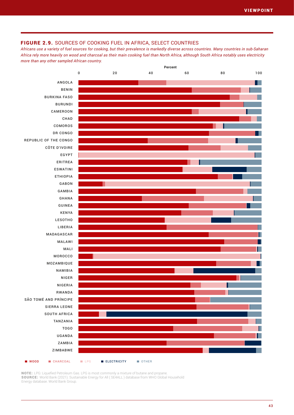## FIGURE 2.9. SOURCES OF COOKING FUEL IN AFRICA, SELECT COUNTRIES

*Africans use a variety of fuel sources for cooking, but their prevalence is markedly diverse across countries. Many countries in sub-Saharan Africa rely more heavily on wood and charcoal as their main cooking fuel than North Africa, although South Africa notably uses electricity more than any other sampled African country.* 



NOTE: LPG: Liquefied Petroleum Gas. LPG is most commonly a mixture of butane and propane. SOURCE: World Bank (2021). Sustainable Energy for All ( SE4ALL ) database from WHO Global Household Energy database. World Bank Group.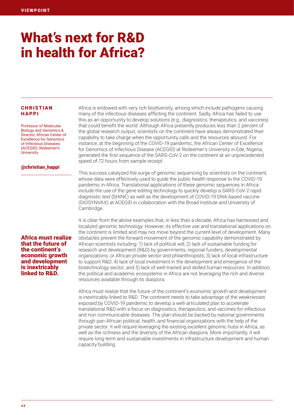# What's next for R&D in health for Africa?

## **CHRISTIAN** HAPPI

Professor of Molecular Biology and Genomics & Director, African Center of Excellence for Genomics of Infectious Diseases (ACEGID), Redeemer's **University** 

## @christian\_happi

Africa must realize that the future of the continent's economic growth and development is inextricably linked to R&D.

Africa is endowed with very rich biodiversity, among which include pathogens causing many of the infectious diseases afflicting the continent. Sadly, Africa has failed to use this as an opportunity to develop solutions (e.g., diagnostics, therapeutics, and vaccines) that could benefit the world. Although Africa presently produces less than 2 percent of the global research output, scientists on the continent have always demonstrated their capability to take charge when the opportunity calls and the resources abound. For instance, at the beginning of the COVID-19 pandemic, the African Center of Excellence for Genomics of Infectious Disease (ACEGID) at Redeemer's University in Ede, Nigeria, generated the first sequence of the SARS-CoV-2 on the continent at an unprecedented speed of 72 hours from sample receipt.

This success catalyzed the surge of genomic sequencing by scientists on the continent, whose data were effectively used to guide the public health response to the COVID-19 pandemic in Africa. Translational applications of these genomic sequences in Africa include the use of the gene editing technology to quickly develop a SARS-CoV-2 rapid diagnostic test (SHINE) as well as the development of COVID-19 DNA-based vaccine (DIOSYNVAX) at ACEGID in collaboration with the Broad Institute and University of Cambridge.

It is clear from the above examples that, in less than a decade, Africa has harnessed and localized genomic technology. However, its effective use and translational applications on the continent is limited and may not move beyond the current level of development. Many obstacles prevent the forward movement of the genomic capability demonstrated by African scientists including: 1) lack of political will; 2) lack of sustainable funding for research and development (R&D) by governments, regional funders, developmental organizations, or African private sector and philanthropists; 3) lack of local infrastructure to support R&D; 4) lack of local investment in the development and emergence of the biotechnology sector; and 5) lack of well-trained and skilled human resources. In addition, the political and academic ecosystems in Africa are not leveraging the rich and diverse resources available through its diaspora.

Africa must realize that the future of the continent's economic growth and development is inextricably linked to R&D. The continent needs to take advantage of the weaknesses exposed by COVID-19 pandemic to develop a well-articulated plan to accelerate translational R&D with a focus on diagnostics, therapeutics, and vaccines for infectious and non communicable diseases. The plan should be backed by national governments through pan-African political, health, and financial organizations with the help of the private sector. It will require leveraging the existing excellent genomic hubs in Africa, as well as the richness and the diversity of the African diaspora. More importantly, it will require long-term and sustainable investments in infrastructure development and human capacity building.